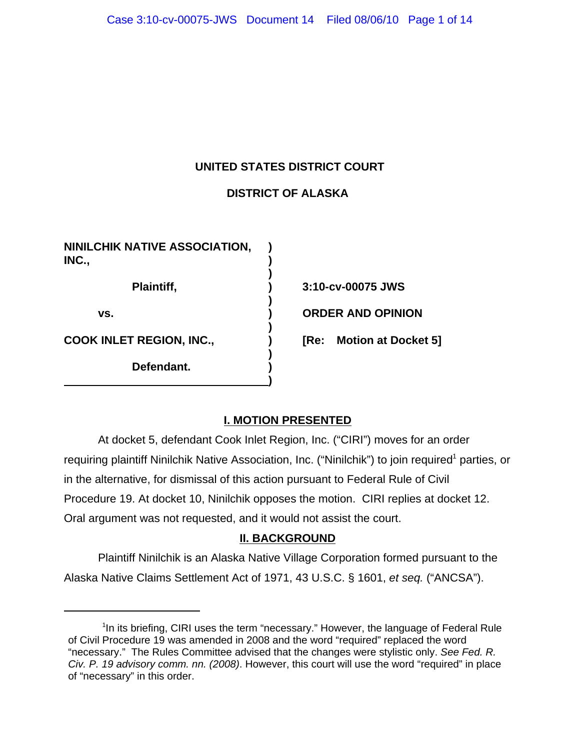## **UNITED STATES DISTRICT COURT**

# **DISTRICT OF ALASKA**

**)**

**)**

**)**

**)**

**)**

**NINILCHIK NATIVE ASSOCIATION, ) INC., ) Plaintiff, ) 3:10-cv-00075 JWS vs. ) ORDER AND OPINION**

**Defendant. )**

**COOK INLET REGION, INC., ) [Re: Motion at Docket 5]**

## **I. MOTION PRESENTED**

At docket 5, defendant Cook Inlet Region, Inc. ("CIRI") moves for an order requiring plaintiff Ninilchik Native Association, Inc. ("Ninilchik") to join required<sup>1</sup> parties, or in the alternative, for dismissal of this action pursuant to Federal Rule of Civil Procedure 19. At docket 10, Ninilchik opposes the motion. CIRI replies at docket 12. Oral argument was not requested, and it would not assist the court.

## **II. BACKGROUND**

Plaintiff Ninilchik is an Alaska Native Village Corporation formed pursuant to the Alaska Native Claims Settlement Act of 1971, 43 U.S.C. § 1601, *et seq.* ("ANCSA").

<sup>&</sup>lt;sup>1</sup>In its briefing, CIRI uses the term "necessary." However, the language of Federal Rule of Civil Procedure 19 was amended in 2008 and the word "required" replaced the word "necessary." The Rules Committee advised that the changes were stylistic only. *See Fed. R. Civ. P. 19 advisory comm. nn. (2008)*. However, this court will use the word "required" in place of "necessary" in this order.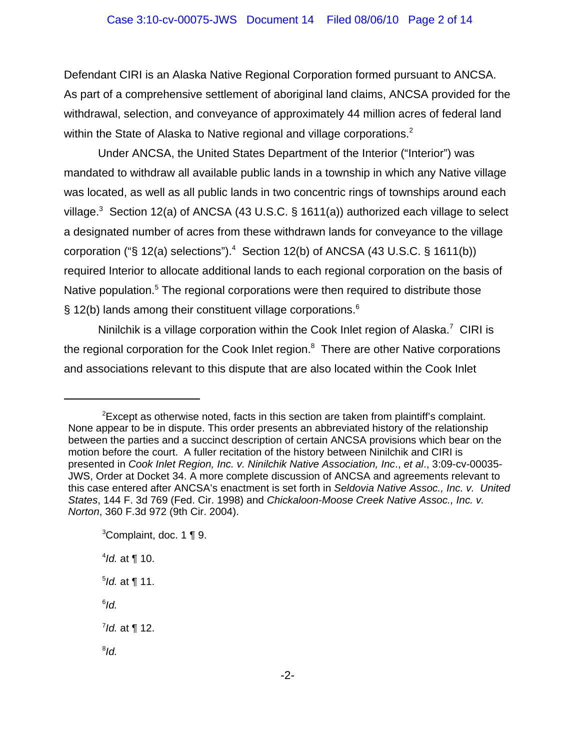Defendant CIRI is an Alaska Native Regional Corporation formed pursuant to ANCSA. As part of a comprehensive settlement of aboriginal land claims, ANCSA provided for the withdrawal, selection, and conveyance of approximately 44 million acres of federal land within the State of Alaska to Native regional and village corporations. $2$ 

Under ANCSA, the United States Department of the Interior ("Interior") was mandated to withdraw all available public lands in a township in which any Native village was located, as well as all public lands in two concentric rings of townships around each village.<sup>3</sup> Section 12(a) of ANCSA (43 U.S.C. § 1611(a)) authorized each village to select a designated number of acres from these withdrawn lands for conveyance to the village corporation ("§ 12(a) selections").<sup>4</sup> Section 12(b) of ANCSA (43 U.S.C. § 1611(b)) required Interior to allocate additional lands to each regional corporation on the basis of Native population.<sup>5</sup> The regional corporations were then required to distribute those § 12(b) lands among their constituent village corporations.<sup>6</sup>

Ninilchik is a village corporation within the Cook Inlet region of Alaska.<sup>7</sup> CIRI is the regional corporation for the Cook Inlet region.<sup>8</sup> There are other Native corporations and associations relevant to this dispute that are also located within the Cook Inlet

 $2$ Except as otherwise noted, facts in this section are taken from plaintiff's complaint. None appear to be in dispute. This order presents an abbreviated history of the relationship between the parties and a succinct description of certain ANCSA provisions which bear on the motion before the court. A fuller recitation of the history between Ninilchik and CIRI is presented in *Cook Inlet Region, Inc. v. Ninilchik Native Association, Inc*., *et al*., 3:09-cv-00035- JWS, Order at Docket 34. A more complete discussion of ANCSA and agreements relevant to this case entered after ANCSA's enactment is set forth in *Seldovia Native Assoc., Inc. v. United States*, 144 F. 3d 769 (Fed. Cir. 1998) and *Chickaloon-Moose Creek Native Assoc., Inc. v. Norton*, 360 F.3d 972 (9th Cir. 2004).

 ${}^{3}$ Complaint, doc. 1 ¶ 9. 4 *Id.* at ¶ 10. 5 *Id.* at ¶ 11. 6 *Id.* 7 *Id.* at ¶ 12. 8 *Id.*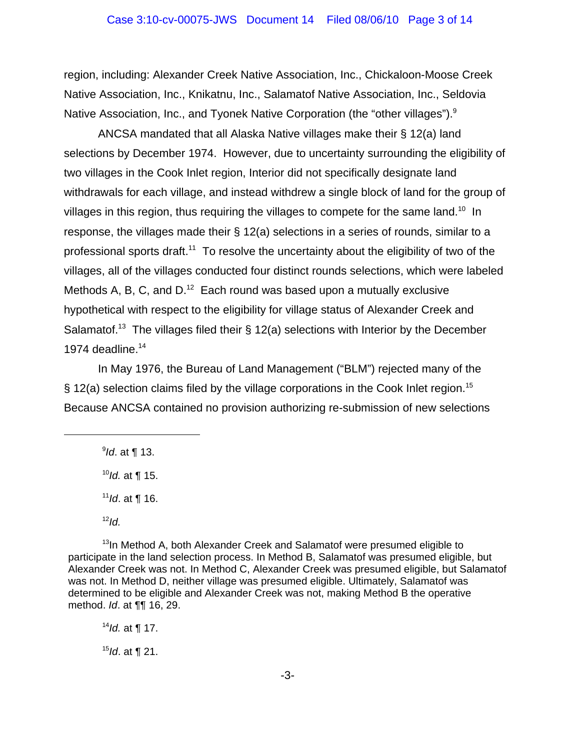region, including: Alexander Creek Native Association, Inc., Chickaloon-Moose Creek Native Association, Inc., Knikatnu, Inc., Salamatof Native Association, Inc., Seldovia Native Association, Inc., and Tyonek Native Corporation (the "other villages").<sup>9</sup>

ANCSA mandated that all Alaska Native villages make their § 12(a) land selections by December 1974. However, due to uncertainty surrounding the eligibility of two villages in the Cook Inlet region, Interior did not specifically designate land withdrawals for each village, and instead withdrew a single block of land for the group of villages in this region, thus requiring the villages to compete for the same land.<sup>10</sup> In response, the villages made their § 12(a) selections in a series of rounds, similar to a professional sports draft.<sup>11</sup> To resolve the uncertainty about the eligibility of two of the villages, all of the villages conducted four distinct rounds selections, which were labeled Methods A, B, C, and  $D^{12}$  Each round was based upon a mutually exclusive hypothetical with respect to the eligibility for village status of Alexander Creek and Salamatof.<sup>13</sup> The villages filed their  $\S$  12(a) selections with Interior by the December 1974 deadline. $14$ 

In May 1976, the Bureau of Land Management ("BLM") rejected many of the  $\S$  12(a) selection claims filed by the village corporations in the Cook Inlet region.<sup>15</sup> Because ANCSA contained no provision authorizing re-submission of new selections

9 *Id*. at ¶ 13.

<sup>10</sup>*Id.* at ¶ 15.

<sup>11</sup>*Id*. at ¶ 16.

 $12$ *Id.* 

 $13$ In Method A, both Alexander Creek and Salamatof were presumed eligible to participate in the land selection process. In Method B, Salamatof was presumed eligible, but Alexander Creek was not. In Method C, Alexander Creek was presumed eligible, but Salamatof was not. In Method D, neither village was presumed eligible. Ultimately, Salamatof was determined to be eligible and Alexander Creek was not, making Method B the operative method. *Id*. at ¶¶ 16, 29.

<sup>14</sup>*Id.* at ¶ 17.

<sup>15</sup>*Id*. at ¶ 21.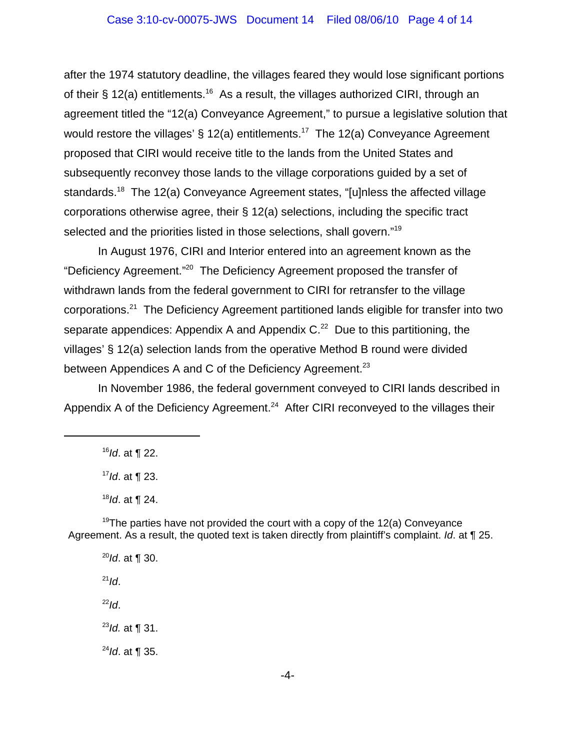### Case 3:10-cv-00075-JWS Document 14 Filed 08/06/10 Page 4 of 14

after the 1974 statutory deadline, the villages feared they would lose significant portions of their § 12(a) entitlements.<sup>16</sup> As a result, the villages authorized CIRI, through an agreement titled the "12(a) Conveyance Agreement," to pursue a legislative solution that would restore the villages' § 12(a) entitlements.<sup>17</sup> The 12(a) Conveyance Agreement proposed that CIRI would receive title to the lands from the United States and subsequently reconvey those lands to the village corporations guided by a set of standards.<sup>18</sup> The 12(a) Conveyance Agreement states, "[u]nless the affected village corporations otherwise agree, their § 12(a) selections, including the specific tract selected and the priorities listed in those selections, shall govern."<sup>19</sup>

In August 1976, CIRI and Interior entered into an agreement known as the "Deficiency Agreement."20 The Deficiency Agreement proposed the transfer of withdrawn lands from the federal government to CIRI for retransfer to the village corporations.<sup>21</sup> The Deficiency Agreement partitioned lands eligible for transfer into two separate appendices: Appendix A and Appendix  $C<sup>22</sup>$  Due to this partitioning, the villages' § 12(a) selection lands from the operative Method B round were divided between Appendices A and C of the Deficiency Agreement.<sup>23</sup>

In November 1986, the federal government conveyed to CIRI lands described in Appendix A of the Deficiency Agreement.<sup>24</sup> After CIRI reconveyed to the villages their

<sup>19</sup>The parties have not provided the court with a copy of the 12(a) Conveyance Agreement. As a result, the quoted text is taken directly from plaintiff's complaint. *Id*. at ¶ 25.

<sup>20</sup>*Id*. at ¶ 30.  $^{21}$ *Id*.  $^{22}$ *Id*. <sup>23</sup>*Id.* at ¶ 31. <sup>24</sup>*Id*. at ¶ 35.

<sup>16</sup>*Id*. at ¶ 22.

<sup>17</sup>*Id*. at ¶ 23.

<sup>18</sup>*Id*. at ¶ 24.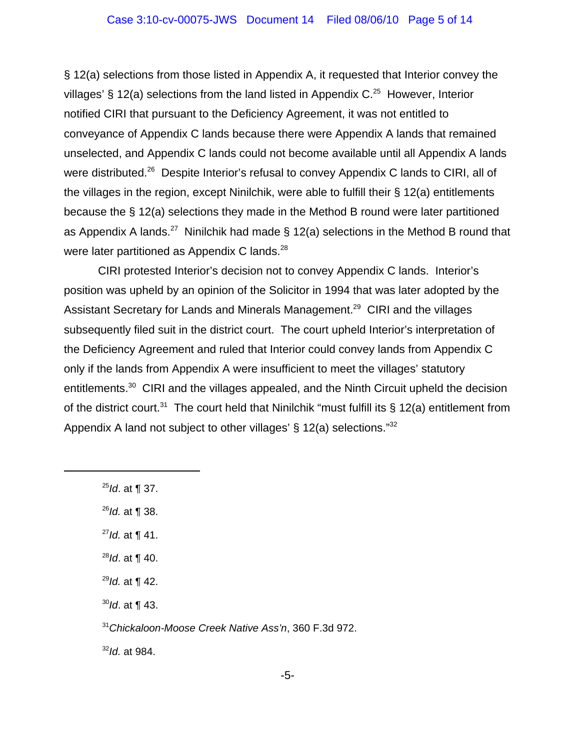### Case 3:10-cv-00075-JWS Document 14 Filed 08/06/10 Page 5 of 14

§ 12(a) selections from those listed in Appendix A, it requested that Interior convey the villages' § 12(a) selections from the land listed in Appendix  $C^{25}$  However, Interior notified CIRI that pursuant to the Deficiency Agreement, it was not entitled to conveyance of Appendix C lands because there were Appendix A lands that remained unselected, and Appendix C lands could not become available until all Appendix A lands were distributed.<sup>26</sup> Despite Interior's refusal to convey Appendix C lands to CIRI, all of the villages in the region, except Ninilchik, were able to fulfill their § 12(a) entitlements because the § 12(a) selections they made in the Method B round were later partitioned as Appendix A lands.<sup>27</sup> Ninilchik had made § 12(a) selections in the Method B round that were later partitioned as Appendix C lands. $^{28}$ 

CIRI protested Interior's decision not to convey Appendix C lands. Interior's position was upheld by an opinion of the Solicitor in 1994 that was later adopted by the Assistant Secretary for Lands and Minerals Management.<sup>29</sup> CIRI and the villages subsequently filed suit in the district court. The court upheld Interior's interpretation of the Deficiency Agreement and ruled that Interior could convey lands from Appendix C only if the lands from Appendix A were insufficient to meet the villages' statutory entitlements.<sup>30</sup> CIRI and the villages appealed, and the Ninth Circuit upheld the decision of the district court.<sup>31</sup> The court held that Ninilchik "must fulfill its § 12(a) entitlement from Appendix A land not subject to other villages' § 12(a) selections."32

- <sup>25</sup>*Id*. at ¶ 37.
- <sup>26</sup>*Id.* at ¶ 38.
- <sup>27</sup>*Id.* at ¶ 41.
- <sup>28</sup>*Id*. at ¶ 40.
- <sup>29</sup>*Id.* at ¶ 42.
- <sup>30</sup>*Id*. at ¶ 43.

<sup>32</sup>*Id.* at 984.

<sup>31</sup>*Chickaloon-Moose Creek Native Ass'n*, 360 F.3d 972.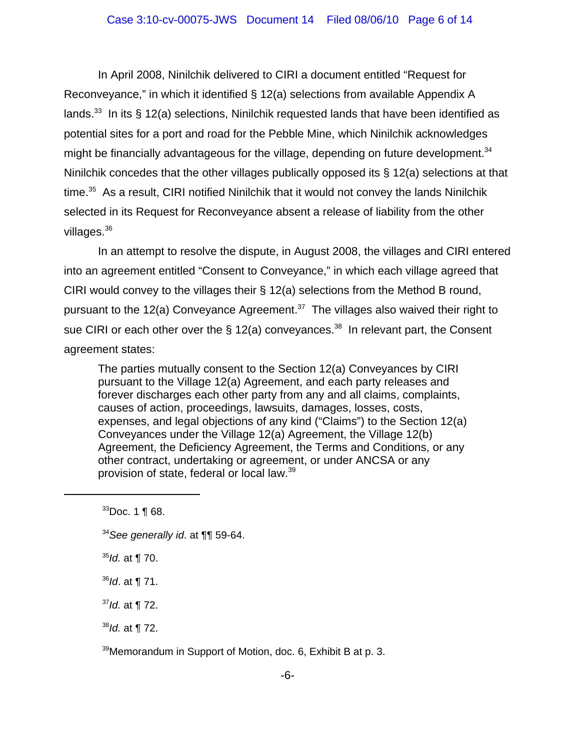#### Case 3:10-cv-00075-JWS Document 14 Filed 08/06/10 Page 6 of 14

In April 2008, Ninilchik delivered to CIRI a document entitled "Request for Reconveyance," in which it identified § 12(a) selections from available Appendix A lands.<sup>33</sup> In its § 12(a) selections, Ninilchik requested lands that have been identified as potential sites for a port and road for the Pebble Mine, which Ninilchik acknowledges might be financially advantageous for the village, depending on future development. $34$ Ninilchik concedes that the other villages publically opposed its § 12(a) selections at that time. $35$  As a result, CIRI notified Ninilchik that it would not convey the lands Ninilchik selected in its Request for Reconveyance absent a release of liability from the other villages.<sup>36</sup>

In an attempt to resolve the dispute, in August 2008, the villages and CIRI entered into an agreement entitled "Consent to Conveyance," in which each village agreed that CIRI would convey to the villages their § 12(a) selections from the Method B round, pursuant to the 12(a) Conveyance Agreement.<sup>37</sup> The villages also waived their right to sue CIRI or each other over the  $\S 12(a)$  conveyances.<sup>38</sup> In relevant part, the Consent agreement states:

The parties mutually consent to the Section 12(a) Conveyances by CIRI pursuant to the Village 12(a) Agreement, and each party releases and forever discharges each other party from any and all claims, complaints, causes of action, proceedings, lawsuits, damages, losses, costs, expenses, and legal objections of any kind ("Claims") to the Section 12(a) Conveyances under the Village 12(a) Agreement, the Village 12(b) Agreement, the Deficiency Agreement, the Terms and Conditions, or any other contract, undertaking or agreement, or under ANCSA or any provision of state, federal or local law.39

<sup>35</sup>*Id.* at ¶ 70.

<sup>36</sup>*Id*. at ¶ 71.

<sup>38</sup>*Id.* at ¶ 72.

 $39$ Memorandum in Support of Motion, doc. 6, Exhibit B at p. 3.

<sup>33</sup>Doc. 1 ¶ 68.

<sup>34</sup>*See generally id*. at ¶¶ 59-64.

<sup>37</sup>*Id.* at ¶ 72.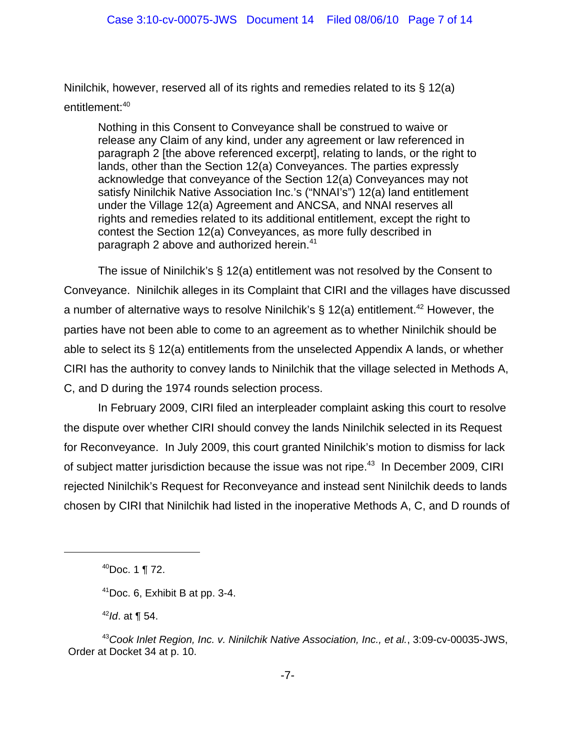Ninilchik, however, reserved all of its rights and remedies related to its § 12(a) entitlement:<sup>40</sup>

Nothing in this Consent to Conveyance shall be construed to waive or release any Claim of any kind, under any agreement or law referenced in paragraph 2 [the above referenced excerpt], relating to lands, or the right to lands, other than the Section 12(a) Conveyances. The parties expressly acknowledge that conveyance of the Section 12(a) Conveyances may not satisfy Ninilchik Native Association Inc.'s ("NNAI's") 12(a) land entitlement under the Village 12(a) Agreement and ANCSA, and NNAI reserves all rights and remedies related to its additional entitlement, except the right to contest the Section 12(a) Conveyances, as more fully described in paragraph 2 above and authorized herein.<sup>41</sup>

The issue of Ninilchik's § 12(a) entitlement was not resolved by the Consent to Conveyance. Ninilchik alleges in its Complaint that CIRI and the villages have discussed a number of alternative ways to resolve Ninilchik's  $\S$  12(a) entitlement.<sup>42</sup> However, the parties have not been able to come to an agreement as to whether Ninilchik should be able to select its § 12(a) entitlements from the unselected Appendix A lands, or whether CIRI has the authority to convey lands to Ninilchik that the village selected in Methods A, C, and D during the 1974 rounds selection process.

In February 2009, CIRI filed an interpleader complaint asking this court to resolve the dispute over whether CIRI should convey the lands Ninilchik selected in its Request for Reconveyance. In July 2009, this court granted Ninilchik's motion to dismiss for lack of subject matter jurisdiction because the issue was not ripe.<sup>43</sup> In December 2009, CIRI rejected Ninilchik's Request for Reconveyance and instead sent Ninilchik deeds to lands chosen by CIRI that Ninilchik had listed in the inoperative Methods A, C, and D rounds of

<sup>42</sup>*Id*. at ¶ 54.

 $40$ Doc. 1 ¶ 72.

 $41$ Doc. 6, Exhibit B at pp. 3-4.

<sup>43</sup>*Cook Inlet Region, Inc. v. Ninilchik Native Association, Inc., et al.*, 3:09-cv-00035-JWS, Order at Docket 34 at p. 10.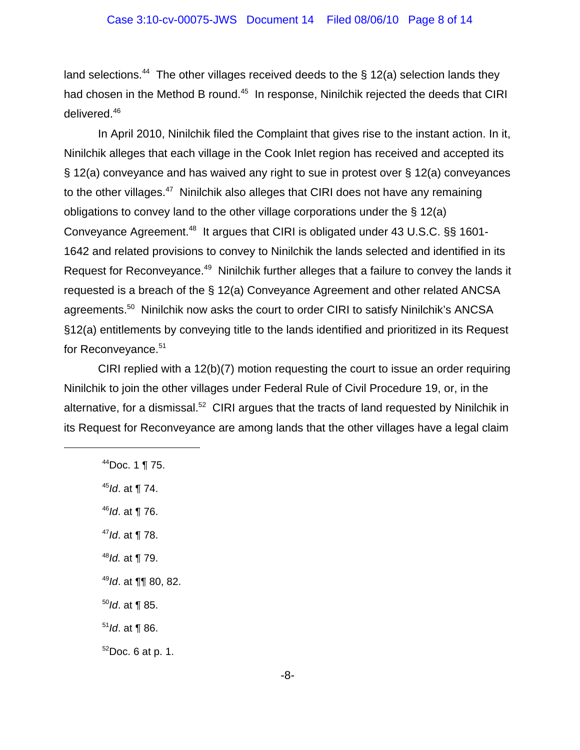land selections.<sup>44</sup> The other villages received deeds to the § 12(a) selection lands they had chosen in the Method B round.<sup>45</sup> In response, Ninilchik rejected the deeds that CIRI delivered.<sup>46</sup>

In April 2010, Ninilchik filed the Complaint that gives rise to the instant action. In it, Ninilchik alleges that each village in the Cook Inlet region has received and accepted its § 12(a) conveyance and has waived any right to sue in protest over § 12(a) conveyances to the other villages.<sup>47</sup> Ninilchik also alleges that CIRI does not have any remaining obligations to convey land to the other village corporations under the § 12(a) Conveyance Agreement.<sup>48</sup> It argues that CIRI is obligated under 43 U.S.C. §§ 1601-1642 and related provisions to convey to Ninilchik the lands selected and identified in its Request for Reconveyance.<sup>49</sup> Ninilchik further alleges that a failure to convey the lands it requested is a breach of the § 12(a) Conveyance Agreement and other related ANCSA agreements.<sup>50</sup> Ninilchik now asks the court to order CIRI to satisfy Ninilchik's ANCSA §12(a) entitlements by conveying title to the lands identified and prioritized in its Request for Reconveyance.<sup>51</sup>

CIRI replied with a 12(b)(7) motion requesting the court to issue an order requiring Ninilchik to join the other villages under Federal Rule of Civil Procedure 19, or, in the alternative, for a dismissal.<sup>52</sup> CIRI argues that the tracts of land requested by Ninilchik in its Request for Reconveyance are among lands that the other villages have a legal claim

- $44$ Doc. 1 ¶ 75.
- <sup>45</sup>*Id*. at ¶ 74.
- <sup>46</sup>*Id*. at ¶ 76.
- <sup>47</sup>*Id*. at ¶ 78.
- <sup>48</sup>*Id.* at ¶ 79.
- <sup>49</sup>*Id*. at ¶¶ 80, 82.
- <sup>50</sup>*Id*. at ¶ 85.
- <sup>51</sup>*Id*. at ¶ 86.
- $52$ Doc. 6 at p. 1.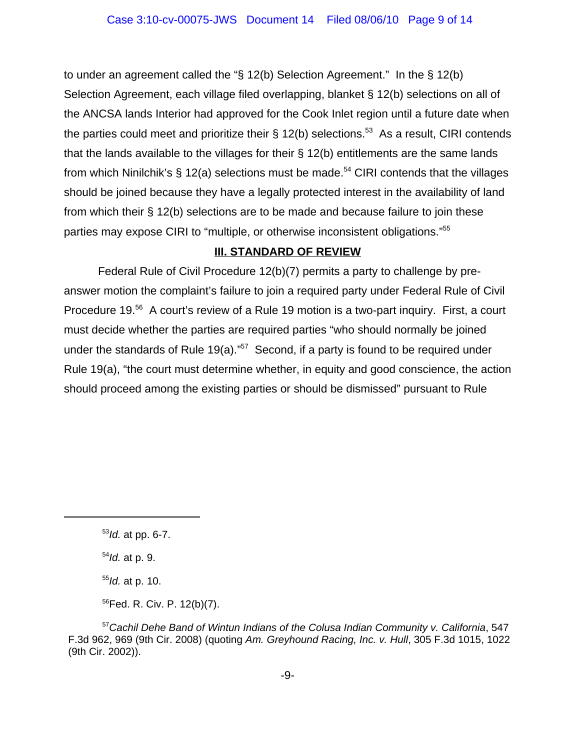to under an agreement called the "§ 12(b) Selection Agreement." In the § 12(b) Selection Agreement, each village filed overlapping, blanket § 12(b) selections on all of the ANCSA lands Interior had approved for the Cook Inlet region until a future date when the parties could meet and prioritize their § 12(b) selections.<sup>53</sup> As a result, CIRI contends that the lands available to the villages for their § 12(b) entitlements are the same lands from which Ninilchik's  $\S$  12(a) selections must be made.<sup>54</sup> CIRI contends that the villages should be joined because they have a legally protected interest in the availability of land from which their § 12(b) selections are to be made and because failure to join these parties may expose CIRI to "multiple, or otherwise inconsistent obligations."55

# **III. STANDARD OF REVIEW**

Federal Rule of Civil Procedure 12(b)(7) permits a party to challenge by preanswer motion the complaint's failure to join a required party under Federal Rule of Civil Procedure 19.<sup>56</sup> A court's review of a Rule 19 motion is a two-part inquiry. First, a court must decide whether the parties are required parties "who should normally be joined under the standards of Rule 19(a)." $57$  Second, if a party is found to be required under Rule 19(a), "the court must determine whether, in equity and good conscience, the action should proceed among the existing parties or should be dismissed" pursuant to Rule

<sup>54</sup>*Id.* at p. 9.

<sup>55</sup>*Id.* at p. 10.

56Fed. R. Civ. P. 12(b)(7).

<sup>57</sup>*Cachil Dehe Band of Wintun Indians of the Colusa Indian Community v. California*, 547 F.3d 962, 969 (9th Cir. 2008) (quoting *Am. Greyhound Racing, Inc. v. Hull*, 305 F.3d 1015, 1022 (9th Cir. 2002)).

<sup>53</sup>*Id.* at pp. 6-7.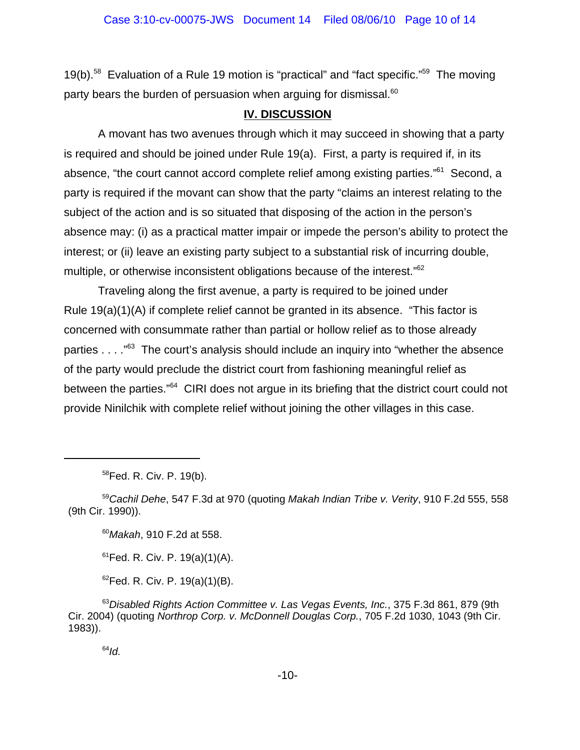19(b).<sup>58</sup> Evaluation of a Rule 19 motion is "practical" and "fact specific."<sup>59</sup> The moving party bears the burden of persuasion when arguing for dismissal. $60$ 

## **IV. DISCUSSION**

A movant has two avenues through which it may succeed in showing that a party is required and should be joined under Rule 19(a). First, a party is required if, in its absence, "the court cannot accord complete relief among existing parties."<sup>61</sup> Second, a party is required if the movant can show that the party "claims an interest relating to the subject of the action and is so situated that disposing of the action in the person's absence may: (i) as a practical matter impair or impede the person's ability to protect the interest; or (ii) leave an existing party subject to a substantial risk of incurring double, multiple, or otherwise inconsistent obligations because of the interest."<sup>62</sup>

Traveling along the first avenue, a party is required to be joined under Rule 19(a)(1)(A) if complete relief cannot be granted in its absence. "This factor is concerned with consummate rather than partial or hollow relief as to those already parties  $\ldots$ ."<sup>63</sup> The court's analysis should include an inquiry into "whether the absence" of the party would preclude the district court from fashioning meaningful relief as between the parties."<sup>64</sup> CIRI does not argue in its briefing that the district court could not provide Ninilchik with complete relief without joining the other villages in this case.

<sup>60</sup>*Makah*, 910 F.2d at 558.

 $61$ Fed. R. Civ. P. 19(a)(1)(A).

 ${}^{62}$ Fed. R. Civ. P. 19(a)(1)(B).

<sup>63</sup>*Disabled Rights Action Committee v. Las Vegas Events, Inc.*, 375 F.3d 861, 879 (9th Cir. 2004) (quoting *Northrop Corp. v. McDonnell Douglas Corp.*, 705 F.2d 1030, 1043 (9th Cir. 1983)).

<sup>64</sup>*Id.*

<sup>58</sup>Fed. R. Civ. P. 19(b).

<sup>59</sup>*Cachil Dehe*, 547 F.3d at 970 (quoting *Makah Indian Tribe v. Verity*, 910 F.2d 555, 558 (9th Cir. 1990)).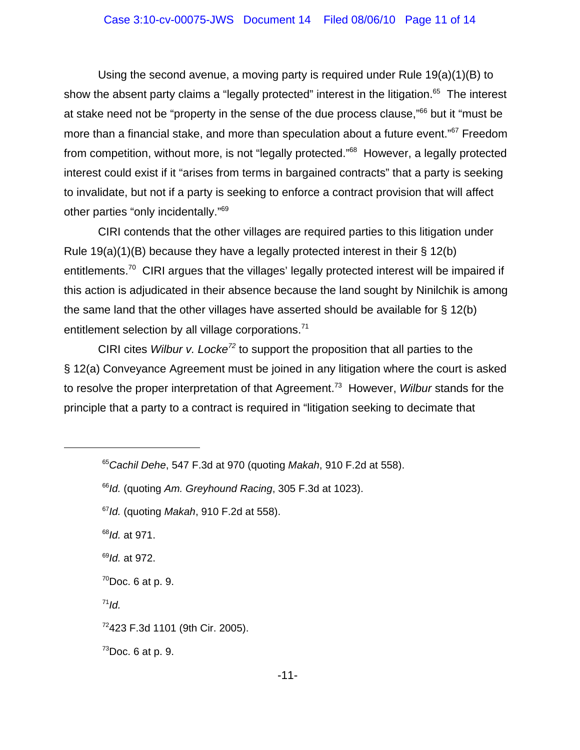Using the second avenue, a moving party is required under Rule 19(a)(1)(B) to show the absent party claims a "legally protected" interest in the litigation.<sup>65</sup> The interest at stake need not be "property in the sense of the due process clause,"<sup>66</sup> but it "must be more than a financial stake, and more than speculation about a future event."<sup>67</sup> Freedom from competition, without more, is not "legally protected."<sup>68</sup> However, a legally protected interest could exist if it "arises from terms in bargained contracts" that a party is seeking to invalidate, but not if a party is seeking to enforce a contract provision that will affect other parties "only incidentally."69

CIRI contends that the other villages are required parties to this litigation under Rule 19(a)(1)(B) because they have a legally protected interest in their § 12(b) entitlements.<sup>70</sup> CIRI argues that the villages' legally protected interest will be impaired if this action is adjudicated in their absence because the land sought by Ninilchik is among the same land that the other villages have asserted should be available for § 12(b) entitlement selection by all village corporations.<sup>71</sup>

CIRI cites *Wilbur v. Locke*<sup>72</sup> to support the proposition that all parties to the § 12(a) Conveyance Agreement must be joined in any litigation where the court is asked to resolve the proper interpretation of that Agreement.73 However, *Wilbur* stands for the principle that a party to a contract is required in "litigation seeking to decimate that

<sup>68</sup>*Id.* at 971.

<sup>69</sup>*Id.* at 972.

 $70$ Doc. 6 at p. 9.

 $71$ *Id.* 

 $73$ Doc. 6 at p. 9.

<sup>65</sup>*Cachil Dehe*, 547 F.3d at 970 (quoting *Makah*, 910 F.2d at 558).

<sup>66</sup>*Id.* (quoting *Am. Greyhound Racing*, 305 F.3d at 1023).

<sup>67</sup>*Id.* (quoting *Makah*, 910 F.2d at 558).

 $72423$  F.3d 1101 (9th Cir. 2005).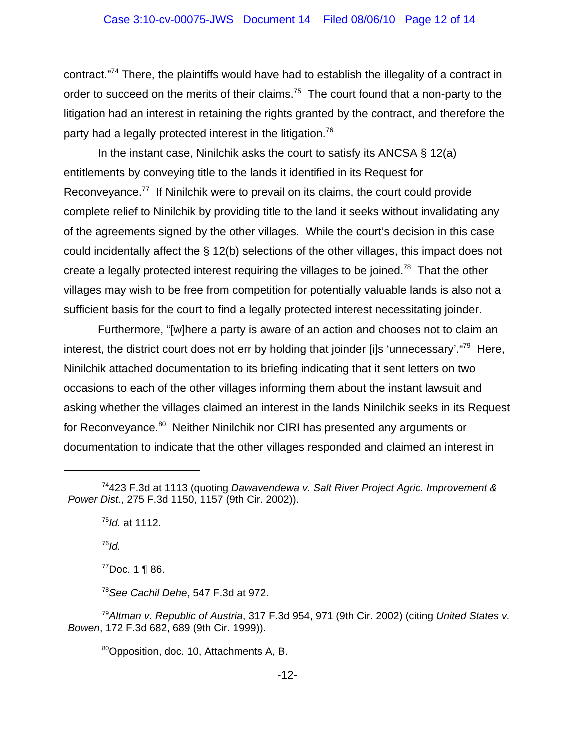### Case 3:10-cv-00075-JWS Document 14 Filed 08/06/10 Page 12 of 14

contract."74 There, the plaintiffs would have had to establish the illegality of a contract in order to succeed on the merits of their claims.<sup>75</sup> The court found that a non-party to the litigation had an interest in retaining the rights granted by the contract, and therefore the party had a legally protected interest in the litigation.<sup>76</sup>

In the instant case, Ninilchik asks the court to satisfy its ANCSA § 12(a) entitlements by conveying title to the lands it identified in its Request for Reconveyance.<sup>77</sup> If Ninilchik were to prevail on its claims, the court could provide complete relief to Ninilchik by providing title to the land it seeks without invalidating any of the agreements signed by the other villages. While the court's decision in this case could incidentally affect the § 12(b) selections of the other villages, this impact does not create a legally protected interest requiring the villages to be joined.<sup>78</sup> That the other villages may wish to be free from competition for potentially valuable lands is also not a sufficient basis for the court to find a legally protected interest necessitating joinder.

Furthermore, "[w]here a party is aware of an action and chooses not to claim an interest, the district court does not err by holding that joinder [i]s 'unnecessary'. "<sup>79</sup> Here, Ninilchik attached documentation to its briefing indicating that it sent letters on two occasions to each of the other villages informing them about the instant lawsuit and asking whether the villages claimed an interest in the lands Ninilchik seeks in its Request for Reconveyance.<sup>80</sup> Neither Ninilchik nor CIRI has presented any arguments or documentation to indicate that the other villages responded and claimed an interest in

<sup>75</sup>*Id.* at 1112.

<sup>76</sup>*Id.*

 $77$ Doc. 1 ¶ 86.

<sup>78</sup>*See Cachil Dehe*, 547 F.3d at 972.

<sup>79</sup>*Altman v. Republic of Austria*, 317 F.3d 954, 971 (9th Cir. 2002) (citing *United States v. Bowen*, 172 F.3d 682, 689 (9th Cir. 1999)).

80Opposition, doc. 10, Attachments A, B.

<sup>74423</sup> F.3d at 1113 (quoting *Dawavendewa v. Salt River Project Agric. Improvement & Power Dist.*, 275 F.3d 1150, 1157 (9th Cir. 2002)).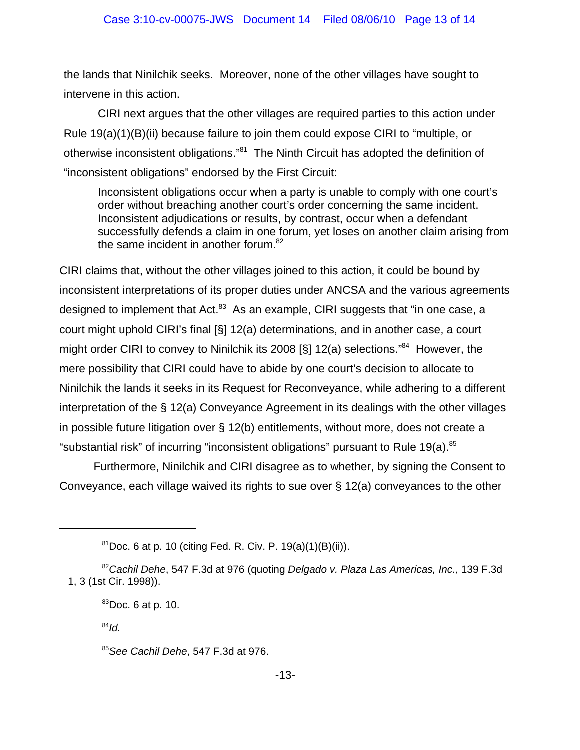the lands that Ninilchik seeks. Moreover, none of the other villages have sought to intervene in this action.

CIRI next argues that the other villages are required parties to this action under Rule 19(a)(1)(B)(ii) because failure to join them could expose CIRI to "multiple, or otherwise inconsistent obligations."81 The Ninth Circuit has adopted the definition of "inconsistent obligations" endorsed by the First Circuit:

Inconsistent obligations occur when a party is unable to comply with one court's order without breaching another court's order concerning the same incident. Inconsistent adjudications or results, by contrast, occur when a defendant successfully defends a claim in one forum, yet loses on another claim arising from the same incident in another forum. $82$ 

CIRI claims that, without the other villages joined to this action, it could be bound by inconsistent interpretations of its proper duties under ANCSA and the various agreements designed to implement that Act.<sup>83</sup> As an example, CIRI suggests that "in one case, a court might uphold CIRI's final [§] 12(a) determinations, and in another case, a court might order CIRI to convey to Ninilchik its 2008 [§] 12(a) selections."<sup>84</sup> However, the mere possibility that CIRI could have to abide by one court's decision to allocate to Ninilchik the lands it seeks in its Request for Reconveyance, while adhering to a different interpretation of the § 12(a) Conveyance Agreement in its dealings with the other villages in possible future litigation over § 12(b) entitlements, without more, does not create a "substantial risk" of incurring "inconsistent obligations" pursuant to Rule 19(a).<sup>85</sup>

Furthermore, Ninilchik and CIRI disagree as to whether, by signing the Consent to Conveyance, each village waived its rights to sue over § 12(a) conveyances to the other

<sup>84</sup>*Id.*

 $81$ Doc. 6 at p. 10 (citing Fed. R. Civ. P. 19(a)(1)(B)(ii)).

<sup>82</sup>*Cachil Dehe*, 547 F.3d at 976 (quoting *Delgado v. Plaza Las Americas, Inc.,* 139 F.3d 1, 3 (1st Cir. 1998)).

 ${}^{83}$ Doc. 6 at p. 10.

<sup>85</sup>*See Cachil Dehe*, 547 F.3d at 976.